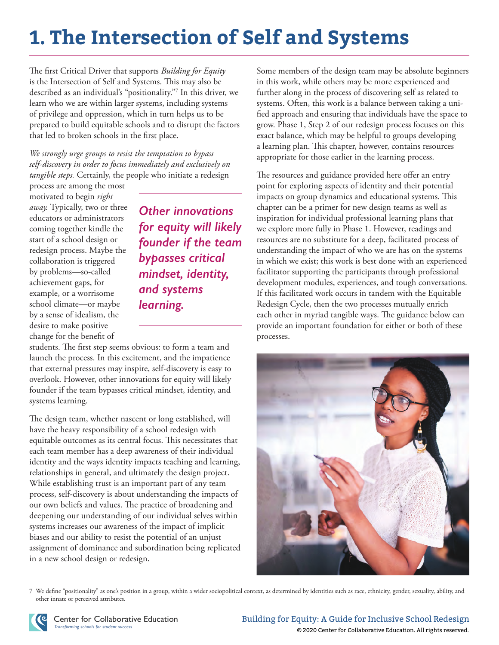# **1. The Intersection of Self and Systems**

The first Critical Driver that supports *Building for Equity* is the Intersection of Self and Systems. This may also be described as an individual's "positionality."7 In this driver, we learn who we are within larger systems, including systems of privilege and oppression, which in turn helps us to be prepared to build equitable schools and to disrupt the factors that led to broken schools in the first place.

*We strongly urge groups to resist the temptation to bypass self-discovery in order to focus immediately and exclusively on tangible steps.* Certainly, the people who initiate a redesign

process are among the most motivated to begin *right away.* Typically, two or three educators or administrators coming together kindle the start of a school design or redesign process. Maybe the collaboration is triggered by problems—so-called achievement gaps, for example, or a worrisome school climate—or maybe by a sense of idealism, the desire to make positive change for the benefit of

*Other innovations for equity will likely founder if the team bypasses critical mindset, identity, and systems learning.*

students. The first step seems obvious: to form a team and launch the process. In this excitement, and the impatience that external pressures may inspire, self-discovery is easy to overlook. However, other innovations for equity will likely founder if the team bypasses critical mindset, identity, and systems learning.

in a new school design or redesign. The design team, whether nascent or long established, will have the heavy responsibility of a school redesign with equitable outcomes as its central focus. This necessitates that each team member has a deep awareness of their individual identity and the ways identity impacts teaching and learning, relationships in general, and ultimately the design project. While establishing trust is an important part of any team process, self-discovery is about understanding the impacts of our own beliefs and values. The practice of broadening and deepening our understanding of our individual selves within systems increases our awareness of the impact of implicit biases and our ability to resist the potential of an unjust assignment of dominance and subordination being replicated Some members of the design team may be absolute beginners in this work, while others may be more experienced and further along in the process of discovering self as related to systems. Often, this work is a balance between taking a unified approach and ensuring that individuals have the space to grow. Phase 1, Step 2 of our redesign process focuses on this exact balance, which may be helpful to groups developing a learning plan. This chapter, however, contains resources appropriate for those earlier in the learning process.

The resources and guidance provided here offer an entry point for exploring aspects of identity and their potential impacts on group dynamics and educational systems. This chapter can be a primer for new design teams as well as inspiration for individual professional learning plans that we explore more fully in Phase 1. However, readings and resources are no substitute for a deep, facilitated process of understanding the impact of who we are has on the systems in which we exist; this work is best done with an experienced facilitator supporting the participants through professional development modules, experiences, and tough conversations. If this facilitated work occurs in tandem with the Equitable Redesign Cycle, then the two processes mutually enrich each other in myriad tangible ways. The guidance below can provide an important foundation for either or both of these processes.



<sup>7</sup> We define "positionality" as one's position in a group, within a wider sociopolitical context, as determined by identities such as race, ethnicity, gender, sexuality, ability, and other innate or perceived attributes.



Education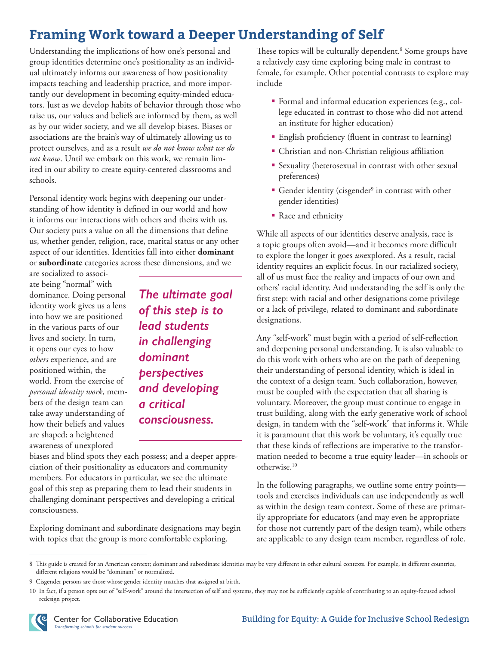### **Framing Work toward a Deeper Understanding of Self**

Understanding the implications of how one's personal and group identities determine one's positionality as an individual ultimately informs our awareness of how positionality impacts teaching and leadership practice, and more importantly our development in becoming equity-minded educators. Just as we develop habits of behavior through those who raise us, our values and beliefs are informed by them, as well as by our wider society, and we all develop biases. Biases or associations are the brain's way of ultimately allowing us to protect ourselves, and as a result *we do not know what we do not know*. Until we embark on this work, we remain limited in our ability to create equity-centered classrooms and schools.

Personal identity work begins with deepening our understanding of how identity is defined in our world and how it informs our interactions with others and theirs with us. Our society puts a value on all the dimensions that define us, whether gender, religion, race, marital status or any other aspect of our identities. Identities fall into either **dominant**  or **subordinate** categories across these dimensions, and we

are socialized to associate being "normal" with dominance. Doing personal identity work gives us a lens into how we are positioned in the various parts of our lives and society. In turn, it opens our eyes to how *others* experience, and are positioned within, the world. From the exercise of *personal identity work*, members of the design team can take away understanding of how their beliefs and values are shaped; a heightened awareness of unexplored

*The ultimate goal of this step is to lead students in challenging dominant perspectives and developing a critical consciousness.*

biases and blind spots they each possess; and a deeper appreciation of their positionality as educators and community members. For educators in particular, we see the ultimate goal of this step as preparing them to lead their students in challenging dominant perspectives and developing a critical consciousness.

Exploring dominant and subordinate designations may begin with topics that the group is more comfortable exploring.

These topics will be culturally dependent.<sup>8</sup> Some groups have a relatively easy time exploring being male in contrast to female, for example. Other potential contrasts to explore may include

- Formal and informal education experiences (e.g., college educated in contrast to those who did not attend an institute for higher education)
- **English proficiency (fluent in contrast to learning)**
- Christian and non-Christian religious affiliation
- Sexuality (heterosexual in contrast with other sexual preferences)
- **Gender identity (cisgender<sup>9</sup>** in contrast with other gender identities)
- Race and ethnicity

While all aspects of our identities deserve analysis, race is a topic groups often avoid—and it becomes more difficult to explore the longer it goes *un*explored. As a result, racial identity requires an explicit focus. In our racialized society, all of us must face the reality and impacts of our own and others' racial identity. And understanding the self is only the first step: with racial and other designations come privilege or a lack of privilege, related to dominant and subordinate designations.

Any "self-work" must begin with a period of self-reflection and deepening personal understanding. It is also valuable to do this work with others who are on the path of deepening their understanding of personal identity, which is ideal in the context of a design team. Such collaboration, however, must be coupled with the expectation that all sharing is voluntary. Moreover, the group must continue to engage in trust building, along with the early generative work of school design, in tandem with the "self-work" that informs it. While it is paramount that this work be voluntary, it's equally true that these kinds of reflections are imperative to the transformation needed to become a true equity leader—in schools or otherwise.10

In the following paragraphs, we outline some entry points tools and exercises individuals can use independently as well as within the design team context. Some of these are primarily appropriate for educators (and may even be appropriate for those not currently part of the design team), while others are applicable to any design team member, regardless of role.

<sup>10</sup> In fact, if a person opts out of "self-work" around the intersection of self and systems, they may not be sufficiently capable of contributing to an equity-focused school redesign project.



<sup>8</sup> This guide is created for an American context; dominant and subordinate identities may be very different in other cultural contexts. For example, in different countries, different religions would be "dominant" or normalized.

<sup>9</sup> Cisgender persons are those whose gender identity matches that assigned at birth.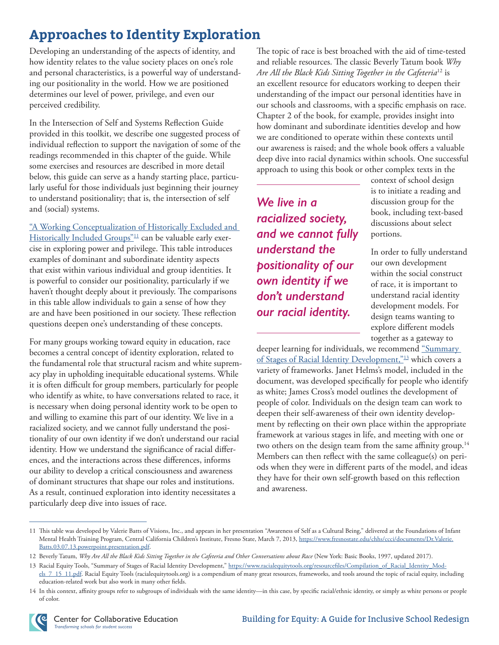# **Approaches to Identity Exploration**

Developing an understanding of the aspects of identity, and how identity relates to the value society places on one's role and personal characteristics, is a powerful way of understanding our positionality in the world. How we are positioned determines our level of power, privilege, and even our perceived credibility.

In the Intersection of Self and Systems Reflection Guide provided in this toolkit, we describe one suggested process of individual reflection to support the navigation of some of the readings recommended in this chapter of the guide. While some exercises and resources are described in more detail below, this guide can serve as a handy starting place, particularly useful for those individuals just beginning their journey to understand positionality; that is, the intersection of self and (social) systems.

["A Working Conceptualization of Historically Excluded and](https://drive.google.com/open?id=1fzH-8SHEx0S_Av2RwbzIiPMv863BgfaF)  [Historically Included Groups"](https://drive.google.com/open?id=1fzH-8SHEx0S_Av2RwbzIiPMv863BgfaF)<sup>11</sup> can be valuable early exercise in exploring power and privilege. This table introduces examples of dominant and subordinate identity aspects that exist within various individual and group identities. It is powerful to consider our positionality, particularly if we haven't thought deeply about it previously. The comparisons in this table allow individuals to gain a sense of how they are and have been positioned in our society. These reflection questions deepen one's understanding of these concepts.

For many groups working toward equity in education, race becomes a central concept of identity exploration, related to the fundamental role that structural racism and white supremacy play in upholding inequitable educational systems. While it is often difficult for group members, particularly for people who identify as white, to have conversations related to race, it is necessary when doing personal identity work to be open to and willing to examine this part of our identity. We live in a racialized society, and we cannot fully understand the positionality of our own identity if we don't understand our racial identity. How we understand the significance of racial differences, and the interactions across these differences, informs our ability to develop a critical consciousness and awareness of dominant structures that shape our roles and institutions. As a result, continued exploration into identity necessitates a particularly deep dive into issues of race.

The topic of race is best broached with the aid of time-tested and reliable resources. The classic Beverly Tatum book *Why Are All the Black Kids Sitting Together in the Cafeteria*12 is an excellent resource for educators working to deepen their understanding of the impact our personal identities have in our schools and classrooms, with a specific emphasis on race. Chapter 2 of the book, for example, provides insight into how dominant and subordinate identities develop and how we are conditioned to operate within these contexts until our awareness is raised; and the whole book offers a valuable deep dive into racial dynamics within schools. One successful approach to using this book or other complex texts in the

*We live in a racialized society, and we cannot fully understand the positionality of our own identity if we don't understand our racial identity.*

context of school design is to initiate a reading and discussion group for the book, including text-based discussions about select portions.

In order to fully understand our own development within the social construct of race, it is important to understand racial identity development models. For design teams wanting to explore different models together as a gateway to

deeper learning for individuals, we recommend "Summary [of Stages of Racial Identity Development,"](http://www.racialequitytools.org/resourcefiles/Compilation_of_Racial_Identity_Models_7_15_11.pdf)<sup>13</sup> which covers a variety of frameworks. Janet Helms's model, included in the document, was developed specifically for people who identify as white; James Cross's model outlines the development of people of color. Individuals on the design team can work to deepen their self-awareness of their own identity development by reflecting on their own place within the appropriate framework at various stages in life, and meeting with one or two others on the design team from the same affinity group.<sup>14</sup> Members can then reflect with the same colleague(s) on periods when they were in different parts of the model, and ideas they have for their own self-growth based on this reflection and awareness.

<sup>14</sup> In this context, affinity groups refer to subgroups of individuals with the same identity—in this case, by specific racial/ethnic identity, or simply as white persons or people of color.



<sup>11</sup> This table was developed by Valerie Batts of Visions, Inc., and appears in her presentation "Awareness of Self as a Cultural Being," delivered at the Foundations of Infant Mental Health Training Program, Central California Children's Institute, Fresno State, March 7, 2013, [https://www.fresnostate.edu/chhs/ccci/documents/Dr.Valerie.](https://www.fresnostate.edu/chhs/ccci/documents/Dr.Valerie.Batts.03.07.13.powerpoint.presentation.pdf) [Batts.03.07.13.powerpoint.presentation.pdf](https://www.fresnostate.edu/chhs/ccci/documents/Dr.Valerie.Batts.03.07.13.powerpoint.presentation.pdf).

<sup>12</sup> Beverly Tatum, *Why Are All the Black Kids Sitting Together in the Cafeteria and Other Conversations about Race* (New York: Basic Books, 1997, updated 2017).

<sup>13</sup> Racial Equity Tools, "Summary of Stages of Racial Identity Development," [https://www.racialequitytools.org/resourcefiles/Compilation\\_of\\_Racial\\_Identity\\_Mod](https://www.racialequitytools.org/resourcefiles/Compilation_of_Racial_Identity_Models_7_15_11.pdf)[els\\_7\\_15\\_11.pdf](https://www.racialequitytools.org/resourcefiles/Compilation_of_Racial_Identity_Models_7_15_11.pdf). Racial Equity Tools (racialequitytools.org) is a compendium of many great resources, frameworks, and tools around the topic of racial equity, including **Education-related** work but also work in many other fields.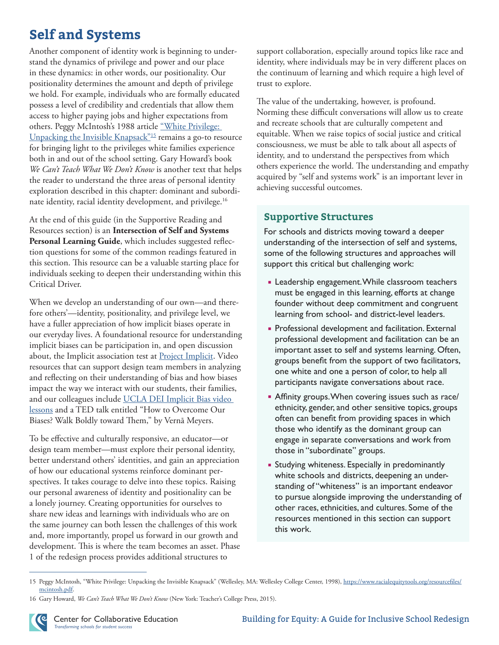### **Self and Systems**

Another component of identity work is beginning to understand the dynamics of privilege and power and our place in these dynamics: in other words, our positionality. Our positionality determines the amount and depth of privilege we hold. For example, individuals who are formally educated possess a level of credibility and credentials that allow them access to higher paying jobs and higher expectations from others. Peggy McIntosh's 1988 article ["White Privilege:](https://www.racialequitytools.org/resourcefiles/mcintosh.pdf)  [Unpacking the Invisible Knapsack"](https://www.racialequitytools.org/resourcefiles/mcintosh.pdf)<sup>15</sup> remains a go-to resource for bringing light to the privileges white families experience both in and out of the school setting. Gary Howard's book *We Can't Teach What We Don't Know* is another text that helps the reader to understand the three areas of personal identity exploration described in this chapter: dominant and subordinate identity, racial identity development, and privilege.<sup>16</sup>

At the end of this guide (in the Supportive Reading and Resources section) is an **Intersection of Self and Systems Personal Learning Guide**, which includes suggested reflection questions for some of the common readings featured in this section. This resource can be a valuable starting place for individuals seeking to deepen their understanding within this Critical Driver.

When we develop an understanding of our own—and therefore others'—identity, positionality, and privilege level, we have a fuller appreciation of how implicit biases operate in our everyday lives. A foundational resource for understanding implicit biases can be participation in, and open discussion about, the Implicit association test at **Project Implicit**. Video resources that can support design team members in analyzing and reflecting on their understanding of bias and how biases impact the way we interact with our students, their families, and our colleagues include UCLA DEI Implicit Bias video [lessons](https://equity.ucla.edu/know/implicit-bias/) and a TED talk entitled "How to Overcome Our Biases? Walk Boldly toward Them," by Vernā Meyers.

 $\mathcal{C}$   $\mathcal{C}$ To be effective and culturally responsive, an educator—or design team member—must explore their personal identity, better understand others' identities, and gain an appreciation of how our educational systems reinforce dominant perspectives. It takes courage to delve into these topics. Raising our personal awareness of identity and positionality can be a lonely journey. Creating opportunities for ourselves to share new ideas and learnings with individuals who are on the same journey can both lessen the challenges of this work and, more importantly, propel us forward in our growth and development. This is where the team becomes an asset. Phase 1 of the redesign process provides additional structures to

support collaboration, especially around topics like race and identity, where individuals may be in very different places on the continuum of learning and which require a high level of trust to explore.

The value of the undertaking, however, is profound. Norming these difficult conversations will allow us to create and recreate schools that are culturally competent and equitable. When we raise topics of social justice and critical consciousness, we must be able to talk about all aspects of identity, and to understand the perspectives from which others experience the world. The understanding and empathy acquired by "self and systems work" is an important lever in achieving successful outcomes.

#### **Supportive Structures**

For schools and districts moving toward a deeper understanding of the intersection of self and systems, some of the following structures and approaches will support this critical but challenging work:

- **Example 2** Leadership engagement. While classroom teachers must be engaged in this learning, efforts at change founder without deep commitment and congruent learning from school- and district-level leaders.
- **Professional development and facilitation. External** professional development and facilitation can be an important asset to self and systems learning. Often, groups benefit from the support of two facilitators, one white and one a person of color, to help all participants navigate conversations about race.
- Affinity groups. When covering issues such as race/ ethnicity, gender, and other sensitive topics, groups often can benefit from providing spaces in which those who identify as the dominant group can engage in separate conversations and work from those in "subordinate" groups.
- **Studying whiteness. Especially in predominantly** white schools and districts, deepening an understanding of "whiteness" is an important endeavor to pursue alongside improving the understanding of other races, ethnicities, and cultures. Some of the resources mentioned in this section can support this work.

<u>Collaboration in the second</u>

<sup>15</sup> Peggy McIntosh, "White Privilege: Unpacking the Invisible Knapsack" (Wellesley, MA: Wellesley College Center, 1998), [https://www.racialequitytools.org/resourcefiles/](https://www.racialequitytools.org/resourcefiles/mcintosh.pdf) [mcintosh.pdf](https://www.racialequitytools.org/resourcefiles/mcintosh.pdf).

<sup>16</sup> Gary Howard, *We Can't Teach What We Don't Know* (New York: Teacher's College Press, 2015).